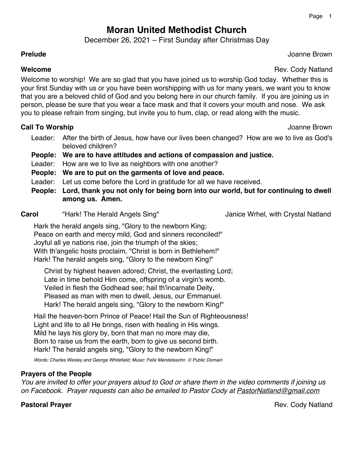# **Moran United Methodist Church**

December 26, 2021 – First Sunday after Christmas Day

## **Prelude** Joanne Brown

**Welcome Rev. Cody Natland** 

Welcome to worship! We are so glad that you have joined us to worship God today. Whether this is your first Sunday with us or you have been worshipping with us for many years, we want you to know that you are a beloved child of God and you belong here in our church family. If you are joining us in person, please be sure that you wear a face mask and that it covers your mouth and nose. We ask you to please refrain from singing, but invite you to hum, clap, or read along with the music.

## **Call To Worship** Joanne Brown

- Leader: After the birth of Jesus, how have our lives been changed? How are we to live as God's beloved children?
- **People: We are to have attitudes and actions of compassion and justice.**
- Leader: How are we to live as neighbors with one another?
- **People: We are to put on the garments of love and peace.**
- Leader: Let us come before the Lord in gratitude for all we have received.
- **People: Lord, thank you not only for being born into our world, but for continuing to dwell among us. Amen.**

**Carol "**Hark! The Herald Angels Sing" Janice Wrhel, with Crystal Natland

Hark the herald angels sing, "Glory to the newborn King; Peace on earth and mercy mild, God and sinners reconciled!" Joyful all ye nations rise, join the triumph of the skies; With th'angelic hosts proclaim, "Christ is born in Bethlehem!" Hark! The herald angels sing, "Glory to the newborn King!"

Christ by highest heaven adored; Christ, the everlasting Lord; Late in time behold Him come, offspring of a virgin's womb. Veiled in flesh the Godhead see; hail th'incarnate Deity, Pleased as man with men to dwell, Jesus, our Emmanuel. Hark! The herald angels sing, "Glory to the newborn King!"

Hail the heaven-born Prince of Peace! Hail the Sun of Righteousness! Light and life to all He brings, risen with healing in His wings. Mild he lays his glory by, born that man no more may die, Born to raise us from the earth, born to give us second birth. Hark! The herald angels sing, "Glory to the newborn King!"

*Words: Charles Wesley and George Whitefield; Music: Felix Mendelssohn © Public Domain*

## **Prayers of the People**

*You are invited to offer your prayers aloud to God or share them in the video comments if joining us on Facebook. Prayer requests can also be emailed to Pastor Cody at PastorNatland@gmail.com*

**Pastoral Prayer Community Community Pastoral Prayer Advisors And American Community Community Pastors Advisors**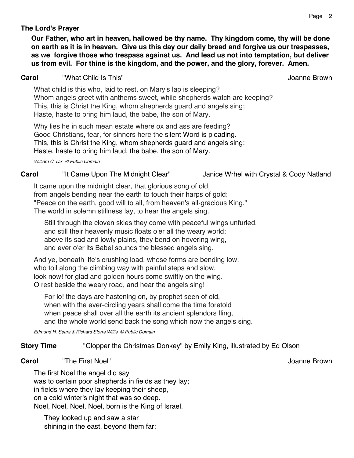## **The Lord's Prayer**

**Our Father, who art in heaven, hallowed be thy name. Thy kingdom come, thy will be done on earth as it is in heaven. Give us this day our daily bread and forgive us our trespasses, as we forgive those who trespass against us. And lead us not into temptation, but deliver us from evil. For thine is the kingdom, and the power, and the glory, forever. Amen.**

### **Carol** "What Child Is This" Joanne Brown

What child is this who, laid to rest, on Mary's lap is sleeping? Whom angels greet with anthems sweet, while shepherds watch are keeping? This, this is Christ the King, whom shepherds guard and angels sing; Haste, haste to bring him laud, the babe, the son of Mary.

Why lies he in such mean estate where ox and ass are feeding? Good Christians, fear, for sinners here the silent Word is pleading. This, this is Christ the King, whom shepherds guard and angels sing; Haste, haste to bring him laud, the babe, the son of Mary.

*William C. Dix © Public Domain*

## **Carol** "It Came Upon The Midnight Clear" Janice Wrhel with Crystal & Cody Natland

It came upon the midnight clear, that glorious song of old, from angels bending near the earth to touch their harps of gold: "Peace on the earth, good will to all, from heaven's all-gracious King." The world in solemn stillness lay, to hear the angels sing.

Still through the cloven skies they come with peaceful wings unfurled, and still their heavenly music floats o'er all the weary world; above its sad and lowly plains, they bend on hovering wing, and ever o'er its Babel sounds the blessed angels sing.

And ye, beneath life's crushing load, whose forms are bending low, who toil along the climbing way with painful steps and slow, look now! for glad and golden hours come swiftly on the wing. O rest beside the weary road, and hear the angels sing!

For lo! the days are hastening on, by prophet seen of old, when with the ever-circling years shall come the time foretold when peace shall over all the earth its ancient splendors fling, and the whole world send back the song which now the angels sing.

*Edmund H. Sears & Richard Storrs Willis © Public Domain*

## **Story Time** "Clopper the Christmas Donkey" by Emily King, illustrated by Ed Olson

#### **Carol 1992 The First Noel"** 1993 **Carol 1993 Joanne Brown**

The first Noel the angel did say was to certain poor shepherds in fields as they lay; in fields where they lay keeping their sheep, on a cold winter's night that was so deep. Noel, Noel, Noel, Noel, born is the King of Israel.

They looked up and saw a star shining in the east, beyond them far;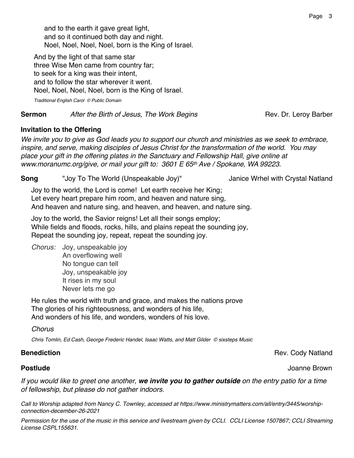and to the earth it gave great light, and so it continued both day and night. Noel, Noel, Noel, Noel, born is the King of Israel.

And by the light of that same star three Wise Men came from country far; to seek for a king was their intent, and to follow the star wherever it went. Noel, Noel, Noel, Noel, born is the King of Israel.

**Sermon** *After the Birth of Jesus, The Work Begins Rev. Dr. Leroy Barber* 

## **Invitation to the Offering**

*We invite you to give as God leads you to support our church and ministries as we seek to embrace, inspire, and serve, making disciples of Jesus Christ for the transformation of the world. You may place your gift in the offering plates in the Sanctuary and Fellowship Hall, give online at www.moranumc.org/give, or mail your gift to: 3601 E 65th Ave / Spokane, WA 99223.*

**Song** "Joy To The World (Unspeakable Joy)" Janice Wrhel with Crystal Natland

Joy to the world, the Lord is come! Let earth receive her King; Let every heart prepare him room, and heaven and nature sing, And heaven and nature sing, and heaven, and heaven, and nature sing.

Joy to the world, the Savior reigns! Let all their songs employ; While fields and floods, rocks, hills, and plains repeat the sounding joy, Repeat the sounding joy, repeat, repeat the sounding joy.

*Chorus:* Joy, unspeakable joy An overflowing well No tongue can tell Joy, unspeakable joy It rises in my soul Never lets me go

He rules the world with truth and grace, and makes the nations prove The glories of his righteousness, and wonders of his life, And wonders of his life, and wonders, wonders of his love.

*Chorus*

*Chris Tomlin, Ed Cash, George Frederic Handel, Isaac Watts, and Matt Gilder © sixsteps Music*

## **Benediction** Rev. Cody Natland

## **Postlude** Joanne Brown

*If you would like to greet one another, we invite you to gather outside on the entry patio for a time of fellowship, but please do not gather indoors.*

*Call to Worship adapted from Nancy C. Townley, accessed at https://www.ministrymatters.com/all/entry/3445/worshipconnection-december-26-2021*

*Permission for the use of the music in this service and livestream given by CCLI. CCLI License 1507867; CCLI Streaming License CSPL155631.*

*Traditional English Carol © Public Domain*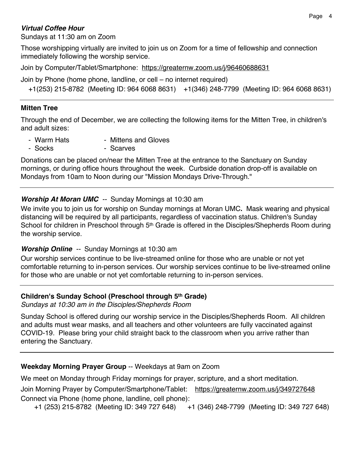## *Virtual Coffee Hour*

Sundays at 11:30 am on Zoom

Those worshipping virtually are invited to join us on Zoom for a time of fellowship and connection immediately following the worship service.

Join by Computer/Tablet/Smartphone: https://greaternw.zoom.us/j/96460688631

Join by Phone (home phone, landline, or cell – no internet required)

+1(253) 215-8782 (Meeting ID: 964 6068 8631) +1(346) 248-7799 (Meeting ID: 964 6068 8631)

## **Mitten Tree**

Through the end of December, we are collecting the following items for the Mitten Tree, in children's and adult sizes:

- Warm Hats  **Mittens and Gloves**
- Socks Scarves

Donations can be placed on/near the Mitten Tree at the entrance to the Sanctuary on Sunday mornings, or during office hours throughout the week. Curbside donation drop-off is available on Mondays from 10am to Noon during our "Mission Mondays Drive-Through."

## *Worship At Moran UMC --* Sunday Mornings at 10:30 am

We invite you to join us for worship on Sunday mornings at Moran UMC**.** Mask wearing and physical distancing will be required by all participants, regardless of vaccination status. Children's Sunday School for children in Preschool through 5<sup>th</sup> Grade is offered in the Disciples/Shepherds Room during the worship service.

## *Worship Online --* Sunday Mornings at 10:30 am

Our worship services continue to be live-streamed online for those who are unable or not yet comfortable returning to in-person services. Our worship services continue to be live-streamed online for those who are unable or not yet comfortable returning to in-person services.

## **Children's Sunday School (Preschool through 5th Grade)**

*Sundays at 10:30 am in the Disciples/Shepherds Room*

Sunday School is offered during our worship service in the Disciples/Shepherds Room. All children and adults must wear masks, and all teachers and other volunteers are fully vaccinated against COVID-19. Please bring your child straight back to the classroom when you arrive rather than entering the Sanctuary.

## **Weekday Morning Prayer Group** -- Weekdays at 9am on Zoom

We meet on Monday through Friday mornings for prayer, scripture, and a short meditation.

Join Morning Prayer by Computer/Smartphone/Tablet: https://greaternw.zoom.us/j/349727648 Connect via Phone (home phone, landline, cell phone):

+1 (253) 215-8782 (Meeting ID: 349 727 648) +1 (346) 248-7799 (Meeting ID: 349 727 648)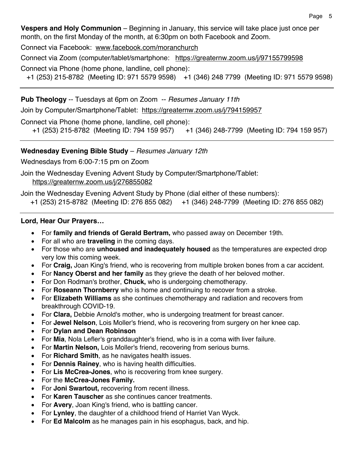**Vespers and Holy Communion** – Beginning in January, this service will take place just once per month, on the first Monday of the month, at 6:30pm on both Facebook and Zoom.

Connect via Facebook: www.facebook.com/moranchurch

Connect via Zoom (computer/tablet/smartphone: https://greaternw.zoom.us/j/97155799598

Connect via Phone (home phone, landline, cell phone):

+1 (253) 215-8782 (Meeting ID: 971 5579 9598) +1 (346) 248 7799 (Meeting ID: 971 5579 9598)

**Pub Theology** -- Tuesdays at 6pm on Zoom -- *Resumes January 11th*

Join by Computer/Smartphone/Tablet: https://greaternw.zoom.us/j/794159957

Connect via Phone (home phone, landline, cell phone):

```
 +1 (253) 215-8782 (Meeting ID: 794 159 957) +1 (346) 248-7799 (Meeting ID: 794 159 957)
```
## **Wednesday Evening Bible Study** – *Resumes January 12th*

Wednesdays from 6:00-7:15 pm on Zoom

Join the Wednesday Evening Advent Study by Computer/Smartphone/Tablet: https://greaternw.zoom.us/j/276855082

Join the Wednesday Evening Advent Study by Phone (dial either of these numbers):

+1 (253) 215-8782 (Meeting ID: 276 855 082) +1 (346) 248-7799 (Meeting ID: 276 855 082)

## **Lord, Hear Our Prayers…**

- For **family and friends of Gerald Bertram,** who passed away on December 19th.
- For all who are **traveling** in the coming days.
- For those who are **unhoused and inadequately housed** as the temperatures are expected drop very low this coming week.
- For **Craig,** Joan King's friend, who is recovering from multiple broken bones from a car accident.
- For **Nancy Oberst and her family** as they grieve the death of her beloved mother.
- For Don Rodman's brother, **Chuck,** who is undergoing chemotherapy.
- For **Roseann Thornberry** who is home and continuing to recover from a stroke.
- For **Elizabeth Williams** as she continues chemotherapy and radiation and recovers from breakthrough COVID-19.
- For **Clara,** Debbie Arnold's mother, who is undergoing treatment for breast cancer.
- For **Jewel Nelson**, Lois Moller's friend, who is recovering from surgery on her knee cap.
- For **Dylan and Dean Robinson**
- For **Mia**, Nola Lefler's granddaughter's friend, who is in a coma with liver failure.
- For **Martin Nelson,** Lois Moller's friend, recovering from serious burns.
- For **Richard Smith**, as he navigates health issues.
- For **Dennis Rainey**, who is having health difficulties.
- For **Lis McCrea-Jones**, who is recovering from knee surgery.
- For the **McCrea-Jones Family.**
- For **Joni Swartout,** recovering from recent illness.
- For **Karen Tauscher** as she continues cancer treatments.
- For **Avery**, Joan King's friend, who is battling cancer.
- For **Lynley**, the daughter of a childhood friend of Harriet Van Wyck.
- For **Ed Malcolm** as he manages pain in his esophagus, back, and hip.